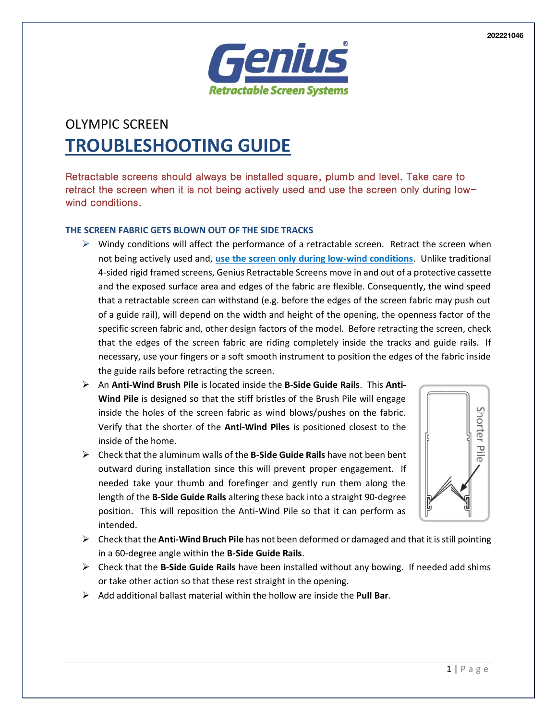

# OLYMPIC SCREEN **TROUBLESHOOTING GUIDE**

Retractable screens should always be installed square, plumb and level. Take care to retract the screen when it is not being actively used and use the screen only during lowwind conditions.

# **THE SCREEN FABRIC GETS BLOWN OUT OF THE SIDE TRACKS**

- $\triangleright$  Windy conditions will affect the performance of a retractable screen. Retract the screen when not being actively used and, **use the screen only during low-wind conditions**. Unlike traditional 4-sided rigid framed screens, Genius Retractable Screens move in and out of a protective cassette and the exposed surface area and edges of the fabric are flexible. Consequently, the wind speed that a retractable screen can withstand (e.g. before the edges of the screen fabric may push out of a guide rail), will depend on the width and height of the opening, the openness factor of the specific screen fabric and, other design factors of the model. Before retracting the screen, check that the edges of the screen fabric are riding completely inside the tracks and guide rails. If necessary, use your fingers or a soft smooth instrument to position the edges of the fabric inside the guide rails before retracting the screen.
- ➢ An **Anti-Wind Brush Pile** is located inside the **B-Side Guide Rails**. This **Anti-Wind Pile** is designed so that the stiff bristles of the Brush Pile will engage inside the holes of the screen fabric as wind blows/pushes on the fabric. Verify that the shorter of the **Anti-Wind Piles** is positioned closest to the inside of the home.
- ➢ Check that the aluminum walls of the **B-Side Guide Rails** have not been bent outward during installation since this will prevent proper engagement. If needed take your thumb and forefinger and gently run them along the length of the **B-Side Guide Rails** altering these back into a straight 90-degree position. This will reposition the Anti-Wind Pile so that it can perform as intended.



- ➢ Check that the **Anti-Wind Bruch Pile** has not been deformed or damaged and that it is still pointing in a 60-degree angle within the **B-Side Guide Rails**.
- ➢ Check that the **B-Side Guide Rails** have been installed without any bowing. If needed add shims or take other action so that these rest straight in the opening.
- ➢ Add additional ballast material within the hollow are inside the **Pull Bar**.